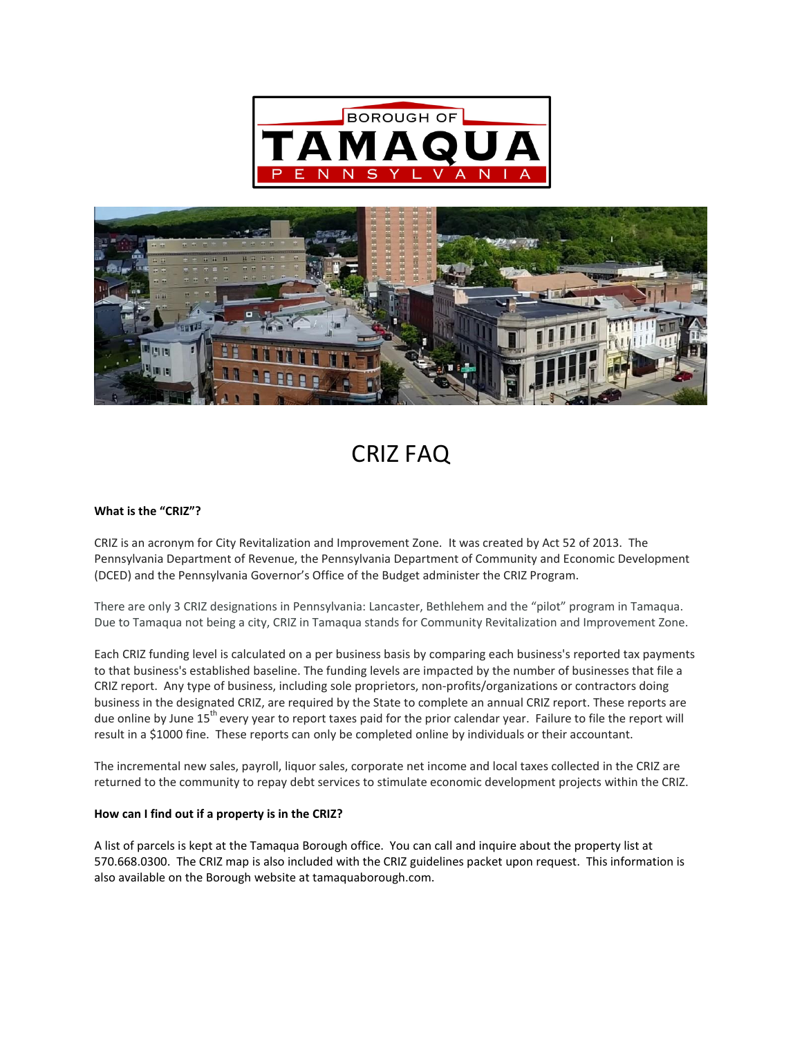



# CRIZ FAQ

# **What is the "CRIZ"?**

CRIZ is an acronym for City Revitalization and Improvement Zone. It was created by Act 52 of 2013. The Pennsylvania Department of Revenue, the Pennsylvania Department of Community and Economic Development (DCED) and the Pennsylvania Governor's Office of the Budget administer the CRIZ Program.

There are only 3 CRIZ designations in Pennsylvania: Lancaster, Bethlehem and the "pilot" program in Tamaqua. Due to Tamaqua not being a city, CRIZ in Tamaqua stands for Community Revitalization and Improvement Zone.

Each CRIZ funding level is calculated on a per business basis by comparing each business's reported tax payments to that business's established baseline. The funding levels are impacted by the number of businesses that file a CRIZ report. Any type of business, including sole proprietors, non-profits/organizations or contractors doing business in the designated CRIZ, are required by the State to complete an annual CRIZ report. These reports are due online by June 15<sup>th</sup> every year to report taxes paid for the prior calendar year. Failure to file the report will result in a \$1000 fine. These reports can only be completed online by individuals or their accountant.

The incremental new sales, payroll, liquor sales, corporate net income and local taxes collected in the CRIZ are returned to the community to repay debt services to stimulate economic development projects within the CRIZ.

#### **How can I find out if a property is in the CRIZ?**

A list of parcels is kept at the Tamaqua Borough office. You can call and inquire about the property list at 570.668.0300. The CRIZ map is also included with the CRIZ guidelines packet upon request. This information is also available on the Borough website at tamaquaborough.com.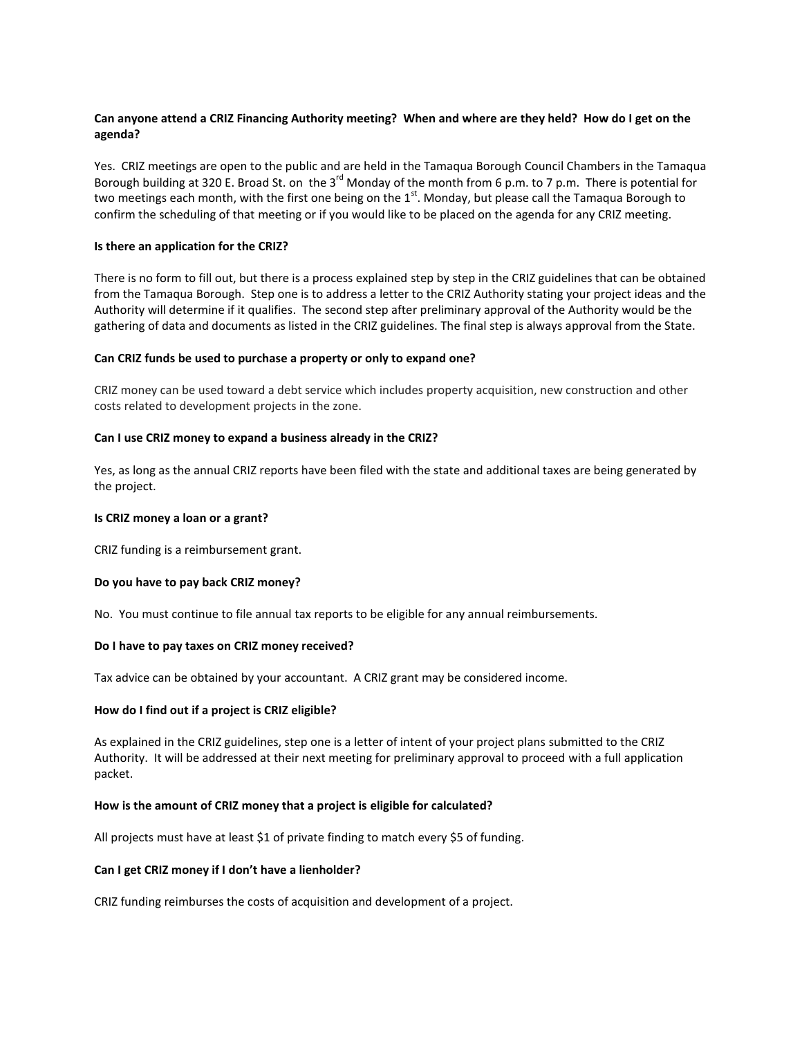# **Can anyone attend a CRIZ Financing Authority meeting? When and where are they held? How do I get on the agenda?**

Yes. CRIZ meetings are open to the public and are held in the Tamaqua Borough Council Chambers in the Tamaqua Borough building at 320 E. Broad St. on the 3<sup>rd</sup> Monday of the month from 6 p.m. to 7 p.m. There is potential for two meetings each month, with the first one being on the 1<sup>st</sup>. Monday, but please call the Tamaqua Borough to confirm the scheduling of that meeting or if you would like to be placed on the agenda for any CRIZ meeting.

## **Is there an application for the CRIZ?**

There is no form to fill out, but there is a process explained step by step in the CRIZ guidelines that can be obtained from the Tamaqua Borough. Step one is to address a letter to the CRIZ Authority stating your project ideas and the Authority will determine if it qualifies. The second step after preliminary approval of the Authority would be the gathering of data and documents as listed in the CRIZ guidelines. The final step is always approval from the State.

#### **Can CRIZ funds be used to purchase a property or only to expand one?**

CRIZ money can be used toward a debt service which includes property acquisition, new construction and other costs related to development projects in the zone.

#### **Can I use CRIZ money to expand a business already in the CRIZ?**

Yes, as long as the annual CRIZ reports have been filed with the state and additional taxes are being generated by the project.

## **Is CRIZ money a loan or a grant?**

CRIZ funding is a reimbursement grant.

# **Do you have to pay back CRIZ money?**

No. You must continue to file annual tax reports to be eligible for any annual reimbursements.

#### **Do I have to pay taxes on CRIZ money received?**

Tax advice can be obtained by your accountant. A CRIZ grant may be considered income.

#### **How do I find out if a project is CRIZ eligible?**

As explained in the CRIZ guidelines, step one is a letter of intent of your project plans submitted to the CRIZ Authority. It will be addressed at their next meeting for preliminary approval to proceed with a full application packet.

#### **How is the amount of CRIZ money that a project is eligible for calculated?**

All projects must have at least \$1 of private finding to match every \$5 of funding.

#### **Can I get CRIZ money if I don't have a lienholder?**

CRIZ funding reimburses the costs of acquisition and development of a project.